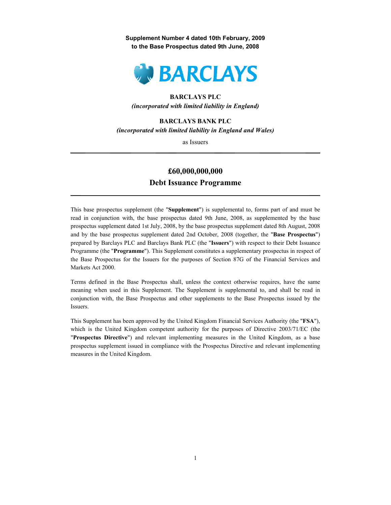Supplement Number 4 dated 10th February, 2009 to the Base Prospectus dated 9th June, 2008



# BARCLAYS PLC

(incorporated with limited liability in England)

# BARCLAYS BANK PLC

(incorporated with limited liability in England and Wales)

as Issuers

# £60,000,000,000 Debt Issuance Programme

This base prospectus supplement (the "Supplement") is supplemental to, forms part of and must be read in conjunction with, the base prospectus dated 9th June, 2008, as supplemented by the base prospectus supplement dated 1st July, 2008, by the base prospectus supplement dated 8th August, 2008 and by the base prospectus supplement dated 2nd October, 2008 (together, the "Base Prospectus") prepared by Barclays PLC and Barclays Bank PLC (the "Issuers") with respect to their Debt Issuance Programme (the "Programme"). This Supplement constitutes a supplementary prospectus in respect of the Base Prospectus for the Issuers for the purposes of Section 87G of the Financial Services and Markets Act 2000.

Terms defined in the Base Prospectus shall, unless the context otherwise requires, have the same meaning when used in this Supplement. The Supplement is supplemental to, and shall be read in conjunction with, the Base Prospectus and other supplements to the Base Prospectus issued by the Issuers.

This Supplement has been approved by the United Kingdom Financial Services Authority (the "FSA"), which is the United Kingdom competent authority for the purposes of Directive 2003/71/EC (the "Prospectus Directive") and relevant implementing measures in the United Kingdom, as a base prospectus supplement issued in compliance with the Prospectus Directive and relevant implementing measures in the United Kingdom.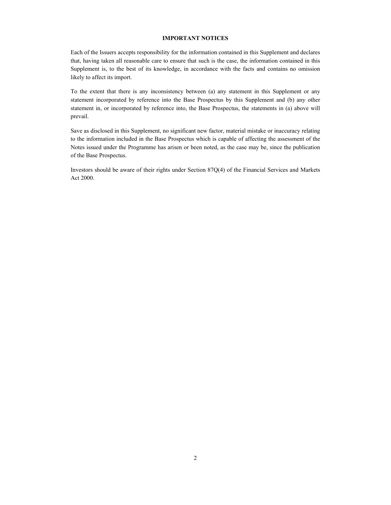# IMPORTANT NOTICES

Each of the Issuers accepts responsibility for the information contained in this Supplement and declares that, having taken all reasonable care to ensure that such is the case, the information contained in this Supplement is, to the best of its knowledge, in accordance with the facts and contains no omission likely to affect its import.

To the extent that there is any inconsistency between (a) any statement in this Supplement or any statement incorporated by reference into the Base Prospectus by this Supplement and (b) any other statement in, or incorporated by reference into, the Base Prospectus, the statements in (a) above will prevail.

Save as disclosed in this Supplement, no significant new factor, material mistake or inaccuracy relating to the information included in the Base Prospectus which is capable of affecting the assessment of the Notes issued under the Programme has arisen or been noted, as the case may be, since the publication of the Base Prospectus.

Investors should be aware of their rights under Section 87Q(4) of the Financial Services and Markets Act 2000.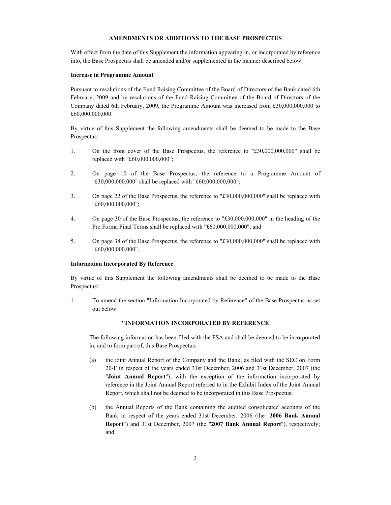# AMENDMENTS OR ADDITIONS TO THE BASE PROSPECTUS

With effect from the date of this Supplement the information appearing in, or incorporated by reference into, the Base Prospectus shall be amended and/or supplemented in the manner described below.

#### Increase in Programme Amount

Pursuant to resolutions of the Fund Raising Committee of the Board of Directors of the Bank dated 6th February, 2009 and by resolutions of the Fund Raising Committee of the Board of Directors of the Company dated 6th February, 2009, the Programme Amount was increased from £30,000,000,000 to £60,000,000,000.

By virtue of this Supplement the following amendments shall be deemed to be made to the Base Prospectus:

- 1. On the front cover of the Base Prospectus, the reference to "£30,000,000,000" shall be replaced with "£60,000,000,000";
- 2. On page 10 of the Base Prospectus, the reference to a Programme Amount of "£30,000,000,000" shall be replaced with "£60,000,000,000";
- 3. On page 22 of the Base Prospectus, the reference to "£30,000,000,000" shall be replaced with "£60,000,000,000";
- 4. On page 30 of the Base Prospectus, the reference to "£30,000,000,000" in the heading of the Pro Forma Final Terms shall be replaced with "£60,000,000,000"; and
- 5. On page 38 of the Base Prospectus, the reference to "£30,000,000,000" shall be replaced with "£60,000,000,000".

#### Information Incorporated By Reference

By virtue of this Supplement the following amendments shall be deemed to be made to the Base Prospectus:

1. To amend the section "Information Incorporated by Reference" of the Base Prospectus as set out below:

## "INFORMATION INCORPORATED BY REFERENCE

The following information has been filed with the FSA and shall be deemed to be incorporated in, and to form part of, this Base Prospectus:

- (a) the joint Annual Report of the Company and the Bank, as filed with the SEC on Form 20-F in respect of the years ended 31st December, 2006 and 31st December, 2007 (the "Joint Annual Report"), with the exception of the information incorporated by reference in the Joint Annual Report referred to in the Exhibit Index of the Joint Annual Report, which shall not be deemed to be incorporated in this Base Prospectus;
- (b) the Annual Reports of the Bank containing the audited consolidated accounts of the Bank in respect of the years ended 31st December, 2006 (the "2006 Bank Annual Report") and 31st December, 2007 (the "2007 Bank Annual Report"), respectively; and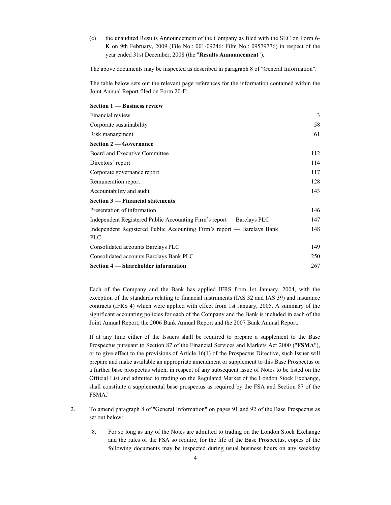(c) the unaudited Results Announcement of the Company as filed with the SEC on Form 6- K on 9th February, 2009 (File No.: 001-09246: Film No.: 09579776) in respect of the year ended 31st December, 2008 (the "Results Announcement").

The above documents may be inspected as described in paragraph 8 of "General Information".

The table below sets out the relevant page references for the information contained within the Joint Annual Report filed on Form 20-F:

| Section 1 — Business review                                                          |     |
|--------------------------------------------------------------------------------------|-----|
| Financial review                                                                     | 3   |
| Corporate sustainability                                                             | 58  |
| Risk management                                                                      | 61  |
| <b>Section 2 – Governance</b>                                                        |     |
| Board and Executive Committee                                                        | 112 |
| Directors' report                                                                    | 114 |
| Corporate governance report                                                          | 117 |
| Remuneration report                                                                  | 128 |
| Accountability and audit                                                             | 143 |
| Section 3 — Financial statements                                                     |     |
| Presentation of information                                                          | 146 |
| Independent Registered Public Accounting Firm's report — Barclays PLC                | 147 |
| Independent Registered Public Accounting Firm's report — Barclays Bank<br><b>PLC</b> | 148 |
| Consolidated accounts Barclays PLC                                                   | 149 |
| Consolidated accounts Barclays Bank PLC                                              | 250 |
| Section 4 — Shareholder information                                                  | 267 |

Each of the Company and the Bank has applied IFRS from 1st January, 2004, with the exception of the standards relating to financial instruments (IAS 32 and IAS 39) and insurance contracts (IFRS 4) which were applied with effect from 1st January, 2005. A summary of the significant accounting policies for each of the Company and the Bank is included in each of the Joint Annual Report, the 2006 Bank Annual Report and the 2007 Bank Annual Report.

If at any time either of the Issuers shall be required to prepare a supplement to the Base Prospectus pursuant to Section 87 of the Financial Services and Markets Act 2000 ("FSMA"), or to give effect to the provisions of Article 16(1) of the Prospectus Directive, such Issuer will prepare and make available an appropriate amendment or supplement to this Base Prospectus or a further base prospectus which, in respect of any subsequent issue of Notes to be listed on the Official List and admitted to trading on the Regulated Market of the London Stock Exchange, shall constitute a supplemental base prospectus as required by the FSA and Section 87 of the FSMA."

- 2. To amend paragraph 8 of "General Information" on pages 91 and 92 of the Base Prospectus as set out below:
	- "8. For so long as any of the Notes are admitted to trading on the London Stock Exchange and the rules of the FSA so require, for the life of the Base Prospectus, copies of the following documents may be inspected during usual business hours on any weekday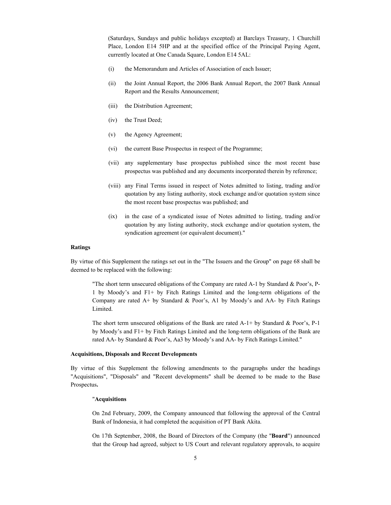(Saturdays, Sundays and public holidays excepted) at Barclays Treasury, 1 Churchill Place, London E14 5HP and at the specified office of the Principal Paying Agent, currently located at One Canada Square, London E14 5AL:

- (i) the Memorandum and Articles of Association of each Issuer;
- (ii) the Joint Annual Report, the 2006 Bank Annual Report, the 2007 Bank Annual Report and the Results Announcement;
- (iii) the Distribution Agreement;
- (iv) the Trust Deed;
- (v) the Agency Agreement;
- (vi) the current Base Prospectus in respect of the Programme;
- (vii) any supplementary base prospectus published since the most recent base prospectus was published and any documents incorporated therein by reference;
- (viii) any Final Terms issued in respect of Notes admitted to listing, trading and/or quotation by any listing authority, stock exchange and/or quotation system since the most recent base prospectus was published; and
- (ix) in the case of a syndicated issue of Notes admitted to listing, trading and/or quotation by any listing authority, stock exchange and/or quotation system, the syndication agreement (or equivalent document)."

#### Ratings

By virtue of this Supplement the ratings set out in the "The Issuers and the Group" on page 68 shall be deemed to be replaced with the following:

"The short term unsecured obligations of the Company are rated A-1 by Standard & Poor's, P-1 by Moody's and F1+ by Fitch Ratings Limited and the long-term obligations of the Company are rated A+ by Standard & Poor's, A1 by Moody's and AA- by Fitch Ratings Limited.

The short term unsecured obligations of the Bank are rated A-1+ by Standard  $\&$  Poor's, P-1 by Moody's and F1+ by Fitch Ratings Limited and the long-term obligations of the Bank are rated AA- by Standard & Poor's, Aa3 by Moody's and AA- by Fitch Ratings Limited."

# Acquisitions, Disposals and Recent Developments

By virtue of this Supplement the following amendments to the paragraphs under the headings "Acquisitions", "Disposals" and "Recent developments" shall be deemed to be made to the Base Prospectus.

# "Acquisitions

On 2nd February, 2009, the Company announced that following the approval of the Central Bank of Indonesia, it had completed the acquisition of PT Bank Akita.

On 17th September, 2008, the Board of Directors of the Company (the "Board") announced that the Group had agreed, subject to US Court and relevant regulatory approvals, to acquire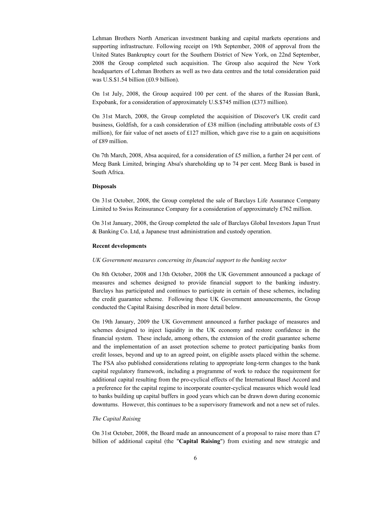Lehman Brothers North American investment banking and capital markets operations and supporting infrastructure. Following receipt on 19th September, 2008 of approval from the United States Bankruptcy court for the Southern District of New York, on 22nd September, 2008 the Group completed such acquisition. The Group also acquired the New York headquarters of Lehman Brothers as well as two data centres and the total consideration paid was U.S.\$1.54 billion (£0.9 billion).

On 1st July, 2008, the Group acquired 100 per cent. of the shares of the Russian Bank, Expobank, for a consideration of approximately U.S.\$745 million (£373 million).

On 31st March, 2008, the Group completed the acquisition of Discover's UK credit card business, Goldfish, for a cash consideration of £38 million (including attributable costs of £3 million), for fair value of net assets of £127 million, which gave rise to a gain on acquisitions of £89 million.

On 7th March, 2008, Absa acquired, for a consideration of £5 million, a further 24 per cent. of Meeg Bank Limited, bringing Absa's shareholding up to 74 per cent. Meeg Bank is based in South Africa.

### Disposals

On 31st October, 2008, the Group completed the sale of Barclays Life Assurance Company Limited to Swiss Reinsurance Company for a consideration of approximately  $\text{\textsterling}762$  million.

On 31st January, 2008, the Group completed the sale of Barclays Global Investors Japan Trust & Banking Co. Ltd, a Japanese trust administration and custody operation.

# Recent developments

## UK Government measures concerning its financial support to the banking sector

On 8th October, 2008 and 13th October, 2008 the UK Government announced a package of measures and schemes designed to provide financial support to the banking industry. Barclays has participated and continues to participate in certain of these schemes, including the credit guarantee scheme. Following these UK Government announcements, the Group conducted the Capital Raising described in more detail below.

On 19th January, 2009 the UK Government announced a further package of measures and schemes designed to inject liquidity in the UK economy and restore confidence in the financial system. These include, among others, the extension of the credit guarantee scheme and the implementation of an asset protection scheme to protect participating banks from credit losses, beyond and up to an agreed point, on eligible assets placed within the scheme. The FSA also published considerations relating to appropriate long-term changes to the bank capital regulatory framework, including a programme of work to reduce the requirement for additional capital resulting from the pro-cyclical effects of the International Basel Accord and a preference for the capital regime to incorporate counter-cyclical measures which would lead to banks building up capital buffers in good years which can be drawn down during economic downturns. However, this continues to be a supervisory framework and not a new set of rules.

#### The Capital Raising

On 31st October, 2008, the Board made an announcement of a proposal to raise more than £7 billion of additional capital (the "Capital Raising") from existing and new strategic and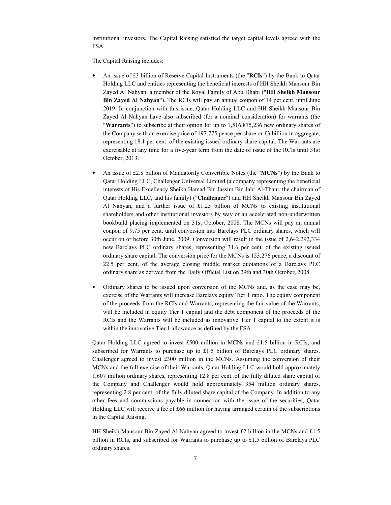institutional investors. The Capital Raising satisfied the target capital levels agreed with the FSA.

The Capital Raising includes:

- An issue of £3 billion of Reserve Capital Instruments (the "RCIs") by the Bank to Qatar Holding LLC and entities representing the beneficial interests of HH Sheikh Mansour Bin Zayed Al Nahyan, a member of the Royal Family of Abu Dhabi ("HH Sheikh Mansour Bin Zayed Al Nahyan"). The RCIs will pay an annual coupon of 14 per cent. until June 2019. In conjunction with this issue, Qatar Holding LLC and HH Sheikh Mansour Bin Zayed Al Nahyan have also subscribed (for a nominal consideration) for warrants (the "Warrants") to subscribe at their option for up to 1,516,875,236 new ordinary shares of the Company with an exercise price of 197.775 pence per share or £3 billion in aggregate, representing 18.1 per cent. of the existing issued ordinary share capital. The Warrants are exercisable at any time for a five-year term from the date of issue of the RCIs until 31st October, 2013.
- An issue of £2.8 billion of Mandatorily Convertible Notes (the " $MCNs$ ") by the Bank to Qatar Holding LLC, Challenger Universal Limited (a company representing the beneficial interests of His Excellency Sheikh Hamad Bin Jassim Bin Jabr Al-Thani, the chairman of Qatar Holding LLC, and his family) ("Challenger") and HH Sheikh Mansour Bin Zayed Al Nahyan, and a further issue of £1.25 billion of MCNs to existing institutional shareholders and other institutional investors by way of an accelerated non-underwritten bookbuild placing implemented on 31st October, 2008. The MCNs will pay an annual coupon of 9.75 per cent. until conversion into Barclays PLC ordinary shares, which will occur on or before 30th June, 2009. Conversion will result in the issue of 2,642,292,334 new Barclays PLC ordinary shares, representing 31.6 per cent. of the existing issued ordinary share capital. The conversion price for the MCNs is 153.276 pence, a discount of 22.5 per cent. of the average closing middle market quotations of a Barclays PLC ordinary share as derived from the Daily Official List on 29th and 30th October, 2008.
- Ordinary shares to be issued upon conversion of the MCNs and, as the case may be, exercise of the Warrants will increase Barclays equity Tier 1 ratio. The equity component of the proceeds from the RCIs and Warrants, representing the fair value of the Warrants, will be included in equity Tier 1 capital and the debt component of the proceeds of the RCIs and the Warrants will be included as innovative Tier 1 capital to the extent it is within the innovative Tier 1 allowance as defined by the FSA.

Qatar Holding LLC agreed to invest £500 million in MCNs and £1.5 billion in RCIs, and subscribed for Warrants to purchase up to £1.5 billion of Barclays PLC ordinary shares. Challenger agreed to invest £300 million in the MCNs. Assuming the conversion of their MCNs and the full exercise of their Warrants, Qatar Holding LLC would hold approximately 1,607 million ordinary shares, representing 12.8 per cent. of the fully diluted share capital of the Company and Challenger would hold approximately 354 million ordinary shares, representing 2.8 per cent. of the fully diluted share capital of the Company. In addition to any other fees and commissions payable in connection with the issue of the securities, Qatar Holding LLC will receive a fee of £66 million for having arranged certain of the subscriptions in the Capital Raising.

HH Sheikh Mansour Bin Zayed Al Nahyan agreed to invest £2 billion in the MCNs and £1.5 billion in RCIs, and subscribed for Warrants to purchase up to £1.5 billion of Barclays PLC ordinary shares.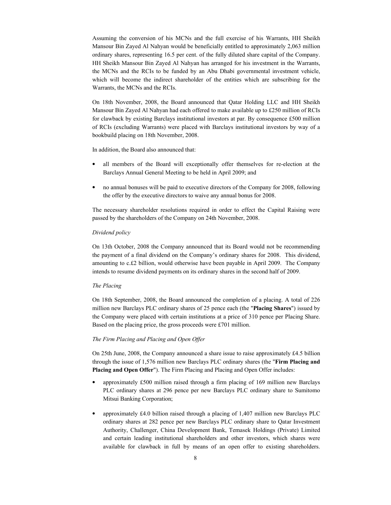Assuming the conversion of his MCNs and the full exercise of his Warrants, HH Sheikh Mansour Bin Zayed Al Nahyan would be beneficially entitled to approximately 2,063 million ordinary shares, representing 16.5 per cent. of the fully diluted share capital of the Company. HH Sheikh Mansour Bin Zayed Al Nahyan has arranged for his investment in the Warrants, the MCNs and the RCIs to be funded by an Abu Dhabi governmental investment vehicle, which will become the indirect shareholder of the entities which are subscribing for the Warrants, the MCNs and the RCIs.

On 18th November, 2008, the Board announced that Qatar Holding LLC and HH Sheikh Mansour Bin Zayed Al Nahyan had each offered to make available up to £250 million of RCIs for clawback by existing Barclays institutional investors at par. By consequence £500 million of RCIs (excluding Warrants) were placed with Barclays institutional investors by way of a bookbuild placing on 18th November, 2008.

In addition, the Board also announced that:

- all members of the Board will exceptionally offer themselves for re-election at the Barclays Annual General Meeting to be held in April 2009; and
- no annual bonuses will be paid to executive directors of the Company for 2008, following the offer by the executive directors to waive any annual bonus for 2008.

The necessary shareholder resolutions required in order to effect the Capital Raising were passed by the shareholders of the Company on 24th November, 2008.

### Dividend policy

On 13th October, 2008 the Company announced that its Board would not be recommending the payment of a final dividend on the Company's ordinary shares for 2008. This dividend, amounting to c.£2 billion, would otherwise have been payable in April 2009. The Company intends to resume dividend payments on its ordinary shares in the second half of 2009.

#### The Placing

On 18th September, 2008, the Board announced the completion of a placing. A total of 226 million new Barclays PLC ordinary shares of 25 pence each (the "Placing Shares") issued by the Company were placed with certain institutions at a price of 310 pence per Placing Share. Based on the placing price, the gross proceeds were £701 million.

## The Firm Placing and Placing and Open Offer

On 25th June, 2008, the Company announced a share issue to raise approximately £4.5 billion through the issue of 1,576 million new Barclays PLC ordinary shares (the "Firm Placing and Placing and Open Offer"). The Firm Placing and Placing and Open Offer includes:

- approximately £500 million raised through a firm placing of 169 million new Barclays PLC ordinary shares at 296 pence per new Barclays PLC ordinary share to Sumitomo Mitsui Banking Corporation;
- approximately £4.0 billion raised through a placing of 1,407 million new Barclays PLC ordinary shares at 282 pence per new Barclays PLC ordinary share to Qatar Investment Authority, Challenger, China Development Bank, Temasek Holdings (Private) Limited and certain leading institutional shareholders and other investors, which shares were available for clawback in full by means of an open offer to existing shareholders.